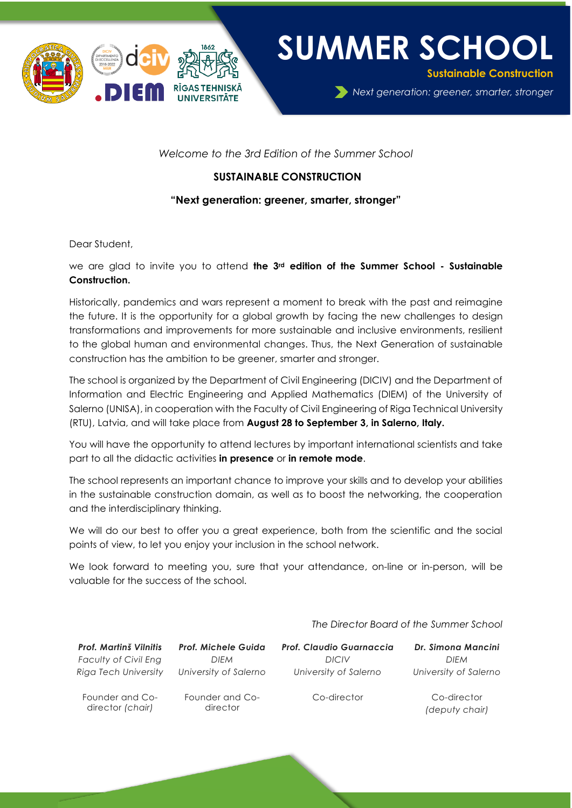

**SUMMER SCHOOL**

**Sustainable Construction** 

*Next generation: greener, smarter, stronger*

*Welcome to the 3rd Edition of the Summer School*

## **SUSTAINABLE CONSTRUCTION**

### **"Next generation: greener, smarter, stronger"**

Dear Student,

we are glad to invite you to attend **the 3<sup>rd</sup> edition of the Summer School - Sustainable Construction.** 

Historically, pandemics and wars represent a moment to break with the past and reimagine the future. It is the opportunity for a global growth by facing the new challenges to design transformations and improvements for more sustainable and inclusive environments, resilient to the global human and environmental changes. Thus, the Next Generation of sustainable construction has the ambition to be greener, smarter and stronger.

The school is organized by the Department of Civil Engineering (DICIV) and the Department of Information and Electric Engineering and Applied Mathematics (DIEM) of the University of Salerno (UNISA), in cooperation with the Faculty of Civil Engineering of Riga Technical University (RTU), Latvia, and will take place from **August 28 to September 3, in Salerno, Italy.**

You will have the opportunity to attend lectures by important international scientists and take part to all the didactic activities **in presence** or **in remote mode**.

The school represents an important chance to improve your skills and to develop your abilities in the sustainable construction domain, as well as to boost the networking, the cooperation and the interdisciplinary thinking.

We will do our best to offer you a great experience, both from the scientific and the social points of view, to let you enjoy your inclusion in the school network.

We look forward to meeting you, sure that your attendance, on-line or in-person, will be valuable for the success of the school.

| <b>Prof. Martinš Vilnitis</b>       | Prof. Michele Guida         | <b>Prof. Claudio Guarnaccia</b> | Dr. Simona Mancini            |
|-------------------------------------|-----------------------------|---------------------------------|-------------------------------|
| <b>Faculty of Civil Eng</b>         | DIEM                        | <b>DICIV</b>                    | <b>DIFM</b>                   |
| Riga Tech University                | University of Salerno       | University of Salerno           | University of Salerno         |
| Founder and Co-<br>director (chair) | Founder and Co-<br>director | Co-director                     | Co-director<br>(deputy chair) |

*The Director Board of the Summer School*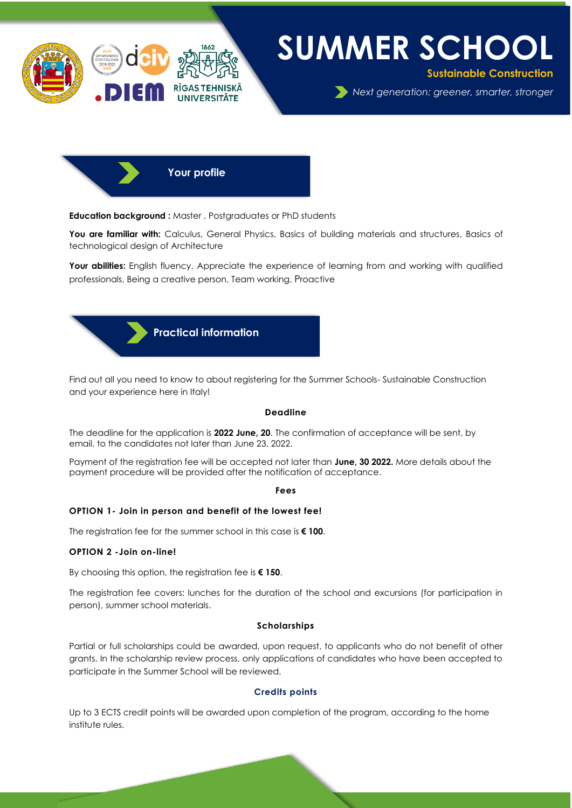

# **SUMMER SCHOOL**

**Sustainable Construction** 

*Next generation: greener, smarter, stronger*

 **Your profile**

**Education background :** Master , Postgraduates or PhD students

You are familiar with: Calculus, General Physics, Basics of building materials and structures, Basics of technological design of Architecture

Your abilities: English fluency, Appreciate the experience of learning from and working with qualified professionals, Being a creative person, Team working, Proactive

 **Practical information**

Find out all you need to know to about registering for the Summer Schools- Sustainable Construction and your experience here in Italy!

#### **Deadline**

The deadline for the application is **2022 June, 20**. The confirmation of acceptance will be sent, by email, to the candidates not later than June 23, 2022.

Payment of the registration fee will be accepted not later than **June, 30 2022.** More details about the payment procedure will be provided after the notification of acceptance.

**Fees**

#### **OPTION 1- Join in person and benefit of the lowest fee!**

The registration fee for the summer school in this case is **€ 100**.

#### **OPTION 2 -Join on-line!**

By choosing this option, the registration fee is **€ 150**.

The registration fee covers: lunches for the duration of the school and excursions (for participation in person), summer school materials.

#### **Scholarships**

Partial or full scholarships could be awarded, upon request, to applicants who do not benefit of other grants. In the scholarship review process, only applications of candidates who have been accepted to participate in the Summer School will be reviewed.

#### **Credits points**

Up to 3 ECTS credit points will be awarded upon completion of the program, according to the home institute rules.